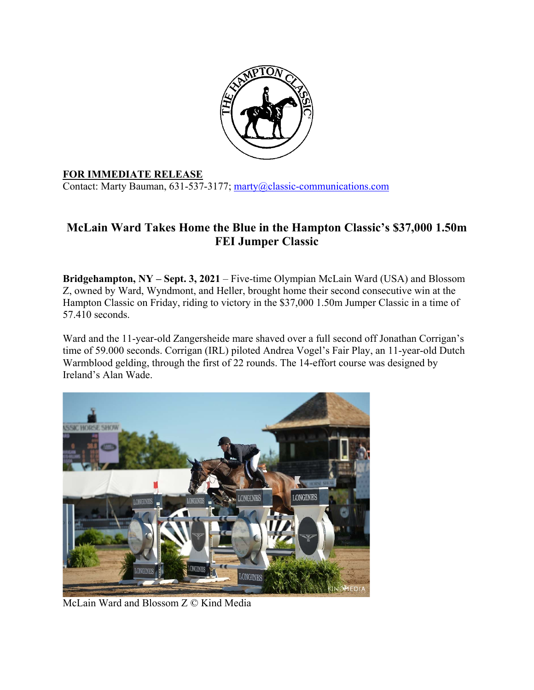

## **FOR IMMEDIATE RELEASE**

Contact: Marty Bauman, 631-537-3177; marty@classic-communications.com

## **McLain Ward Takes Home the Blue in the Hampton Classic's \$37,000 1.50m FEI Jumper Classic**

**Bridgehampton, NY – Sept. 3, 2021** – Five-time Olympian McLain Ward (USA) and Blossom Z, owned by Ward, Wyndmont, and Heller, brought home their second consecutive win at the Hampton Classic on Friday, riding to victory in the \$37,000 1.50m Jumper Classic in a time of 57.410 seconds.

Ward and the 11-year-old Zangersheide mare shaved over a full second off Jonathan Corrigan's time of 59.000 seconds. Corrigan (IRL) piloted Andrea Vogel's Fair Play, an 11-year-old Dutch Warmblood gelding, through the first of 22 rounds. The 14-effort course was designed by Ireland's Alan Wade.



McLain Ward and Blossom Z © Kind Media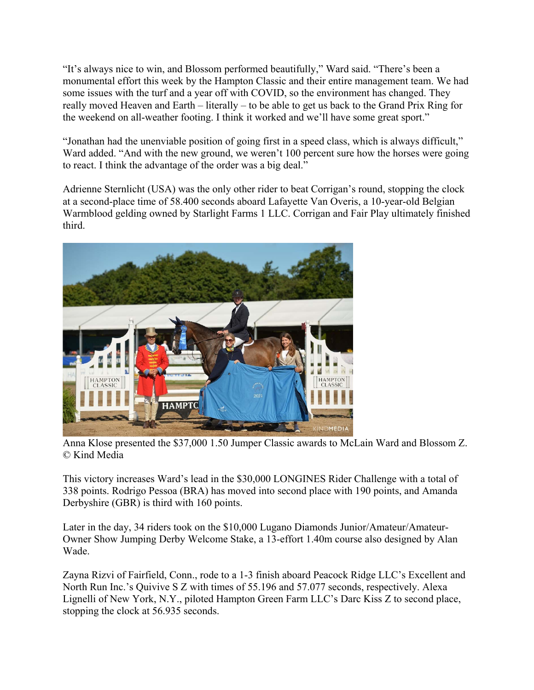"It's always nice to win, and Blossom performed beautifully," Ward said. "There's been a monumental effort this week by the Hampton Classic and their entire management team. We had some issues with the turf and a year off with COVID, so the environment has changed. They really moved Heaven and Earth – literally – to be able to get us back to the Grand Prix Ring for the weekend on all-weather footing. I think it worked and we'll have some great sport."

"Jonathan had the unenviable position of going first in a speed class, which is always difficult," Ward added. "And with the new ground, we weren't 100 percent sure how the horses were going to react. I think the advantage of the order was a big deal."

Adrienne Sternlicht (USA) was the only other rider to beat Corrigan's round, stopping the clock at a second-place time of 58.400 seconds aboard Lafayette Van Overis, a 10-year-old Belgian Warmblood gelding owned by Starlight Farms 1 LLC. Corrigan and Fair Play ultimately finished third.



Anna Klose presented the \$37,000 1.50 Jumper Classic awards to McLain Ward and Blossom Z. © Kind Media

This victory increases Ward's lead in the \$30,000 LONGINES Rider Challenge with a total of 338 points. Rodrigo Pessoa (BRA) has moved into second place with 190 points, and Amanda Derbyshire (GBR) is third with 160 points.

Later in the day, 34 riders took on the \$10,000 Lugano Diamonds Junior/Amateur/Amateur-Owner Show Jumping Derby Welcome Stake, a 13-effort 1.40m course also designed by Alan Wade.

Zayna Rizvi of Fairfield, Conn., rode to a 1-3 finish aboard Peacock Ridge LLC's Excellent and North Run Inc.'s Quivive S Z with times of 55.196 and 57.077 seconds, respectively. Alexa Lignelli of New York, N.Y., piloted Hampton Green Farm LLC's Darc Kiss Z to second place, stopping the clock at 56.935 seconds.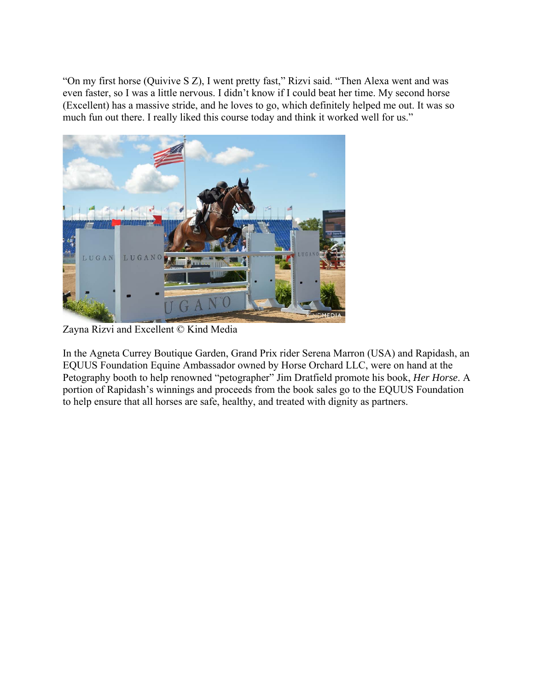"On my first horse (Quivive S Z), I went pretty fast," Rizvi said. "Then Alexa went and was even faster, so I was a little nervous. I didn't know if I could beat her time. My second horse (Excellent) has a massive stride, and he loves to go, which definitely helped me out. It was so much fun out there. I really liked this course today and think it worked well for us."



Zayna Rizvi and Excellent © Kind Media

In the Agneta Currey Boutique Garden, Grand Prix rider Serena Marron (USA) and Rapidash, an EQUUS Foundation Equine Ambassador owned by Horse Orchard LLC, were on hand at the Petography booth to help renowned "petographer" Jim Dratfield promote his book, *Her Horse*. A portion of Rapidash's winnings and proceeds from the book sales go to the EQUUS Foundation to help ensure that all horses are safe, healthy, and treated with dignity as partners.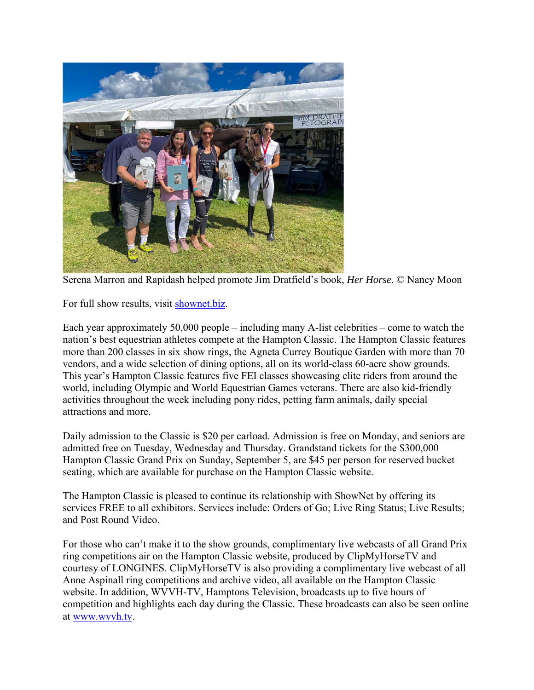

Serena Marron and Rapidash helped promote Jim Dratfield's book, *Her Horse*. © Nancy Moon

For full show results, visit shownet.biz.

Each year approximately 50,000 people – including many A-list celebrities – come to watch the nation's best equestrian athletes compete at the Hampton Classic. The Hampton Classic features more than 200 classes in six show rings, the Agneta Currey Boutique Garden with more than 70 vendors, and a wide selection of dining options, all on its world-class 60-acre show grounds. This year's Hampton Classic features five FEI classes showcasing elite riders from around the world, including Olympic and World Equestrian Games veterans. There are also kid-friendly activities throughout the week including pony rides, petting farm animals, daily special attractions and more.

Daily admission to the Classic is \$20 per carload. Admission is free on Monday, and seniors are admitted free on Tuesday, Wednesday and Thursday. Grandstand tickets for the \$300,000 Hampton Classic Grand Prix on Sunday, September 5, are \$45 per person for reserved bucket seating, which are available for purchase on the Hampton Classic website.

The Hampton Classic is pleased to continue its relationship with ShowNet by offering its services FREE to all exhibitors. Services include: Orders of Go; Live Ring Status; Live Results; and Post Round Video.

For those who can't make it to the show grounds, complimentary live webcasts of all Grand Prix ring competitions air on the Hampton Classic website, produced by ClipMyHorseTV and courtesy of LONGINES. ClipMyHorseTV is also providing a complimentary live webcast of all Anne Aspinall ring competitions and archive video, all available on the Hampton Classic website. In addition, WVVH-TV, Hamptons Television, broadcasts up to five hours of competition and highlights each day during the Classic. These broadcasts can also be seen online at www.wvvh.tv.